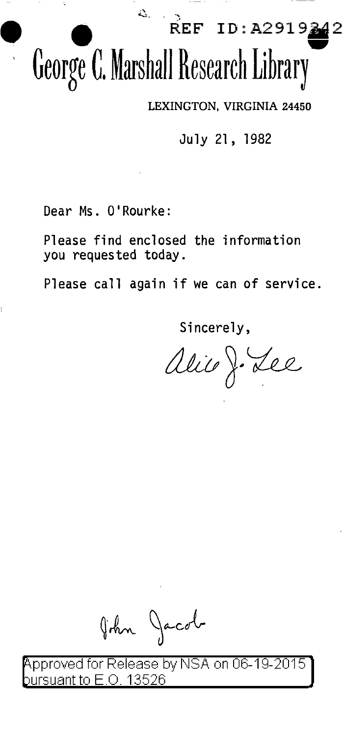### $REF ID: A2919$ George C. Marshall Research Library

LEXINGTON, VIRGINIA 24450

July 21, 1982

Dear Ms. O'Rourke:

Please find enclosed the information you requested today.

Please call again if we can of service.

Sincerelv.

alic J. Lee

John Jacob

Approved for Release by NSA on 06-19-2015 .O. 13526 irsuant to B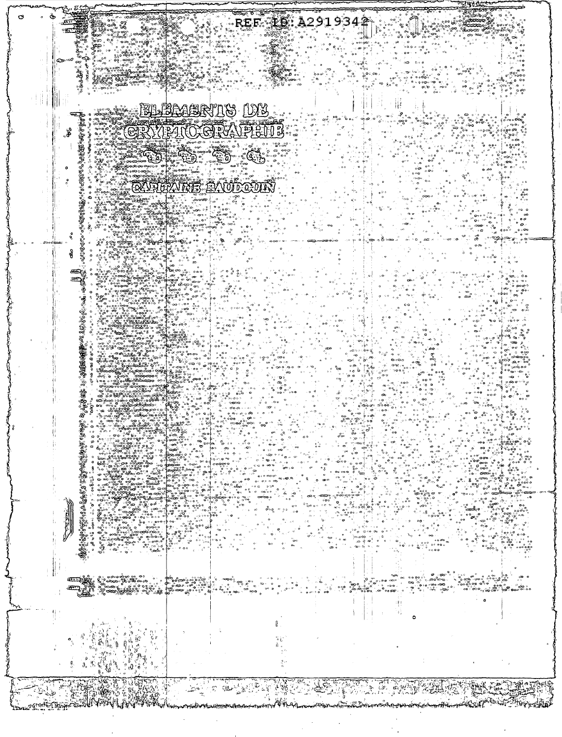# 

 $\begin{array}{l} \mathcal{R}_{\mathbf{3},\mathbf{6},\mathbf{6},\mathbf{6},\mathbf{6},\mathbf{6},\mathbf{6},\mathbf{6},\mathbf{6},\mathbf{6},\mathbf{6},\mathbf{6},\mathbf{6},\mathbf{6},\mathbf{6},\mathbf{6},\mathbf{6},\mathbf{6},\mathbf{6},\mathbf{6},\mathbf{6},\mathbf{6},\mathbf{6},\mathbf{6},\mathbf{6},\mathbf{6},\mathbf{6},\mathbf{6},\mathbf{6},\mathbf{6},\mathbf{6},\mathbf{6},\mathbf{6},\mathbf{6},\mathbf$ 

 $\mathbb{E}(\mathbf{Q}_{\mathbf{z}}) \cong \mathbb{E}^{L}(\mathbf{Q}_{\mathbf{z}})$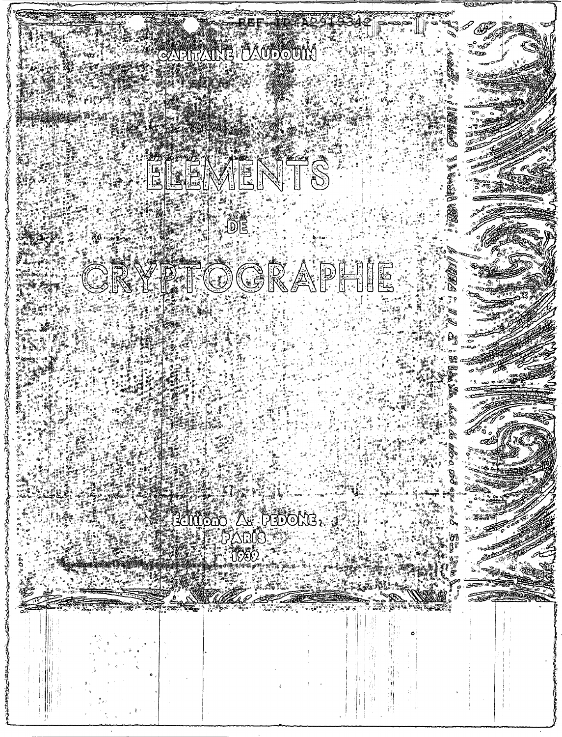## 

STRINGER STRINGER

ڹ۫؞؞ڟ؇ۉ؋ڸٵ؞ۣٞۥ۠ڛٚ؉ٞ؊ۊ؆ۄؘ۩ٵڮٳ؞ۣ *<i><i><b>Efficient*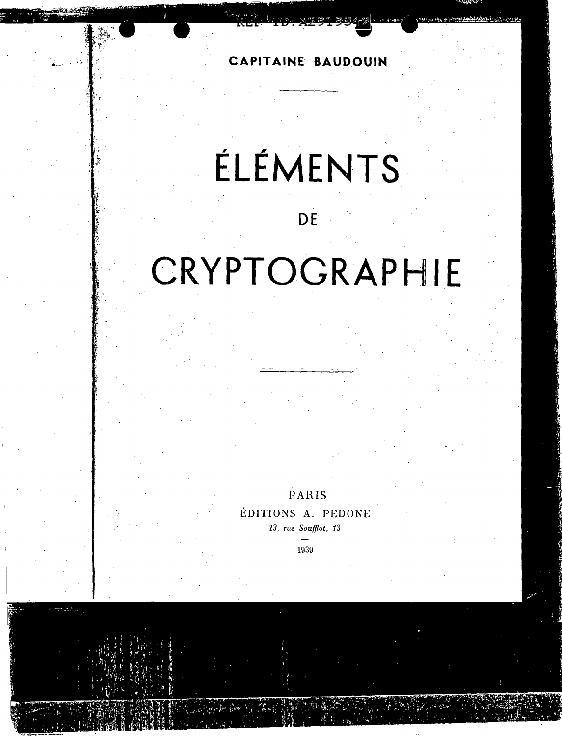**CAPITAINE BAUDOUIN** 

,' .• ; '.  $~\cdot$   $~\cdot$   $~\cdot$   $~\cdot$   $~\cdot$   $~\cdot$   $~\cdot$   $~\cdot$   $~\cdot$   $~\cdot$   $~\cdot$   $~\cdot$   $~\cdot$   $~\cdot$   $~\cdot$   $~\cdot$   $~\cdot$   $~\cdot$   $~\cdot$   $~\cdot$   $~\cdot$   $~\cdot$   $~\cdot$   $~\cdot$   $~\cdot$   $~\cdot$   $~\cdot$   $~\cdot$   $~\cdot$   $~\cdot$   $~\cdot$   $~\cdot$   $~\cdot$   $~\cdot$   $~\cdot$   $~\cdot$   $~\cdot$ 

 $\mathbf{r}$ 

 $\mathbf{f}^*$  .

 $\mathbf{r}$ 

## **ELEMENTS**

### **DE**

## **CRYPTOGRAPHIE**

PARIS

EDITIONS A. PEDONE

*13,* rue *Soufllot, 13* 

1939